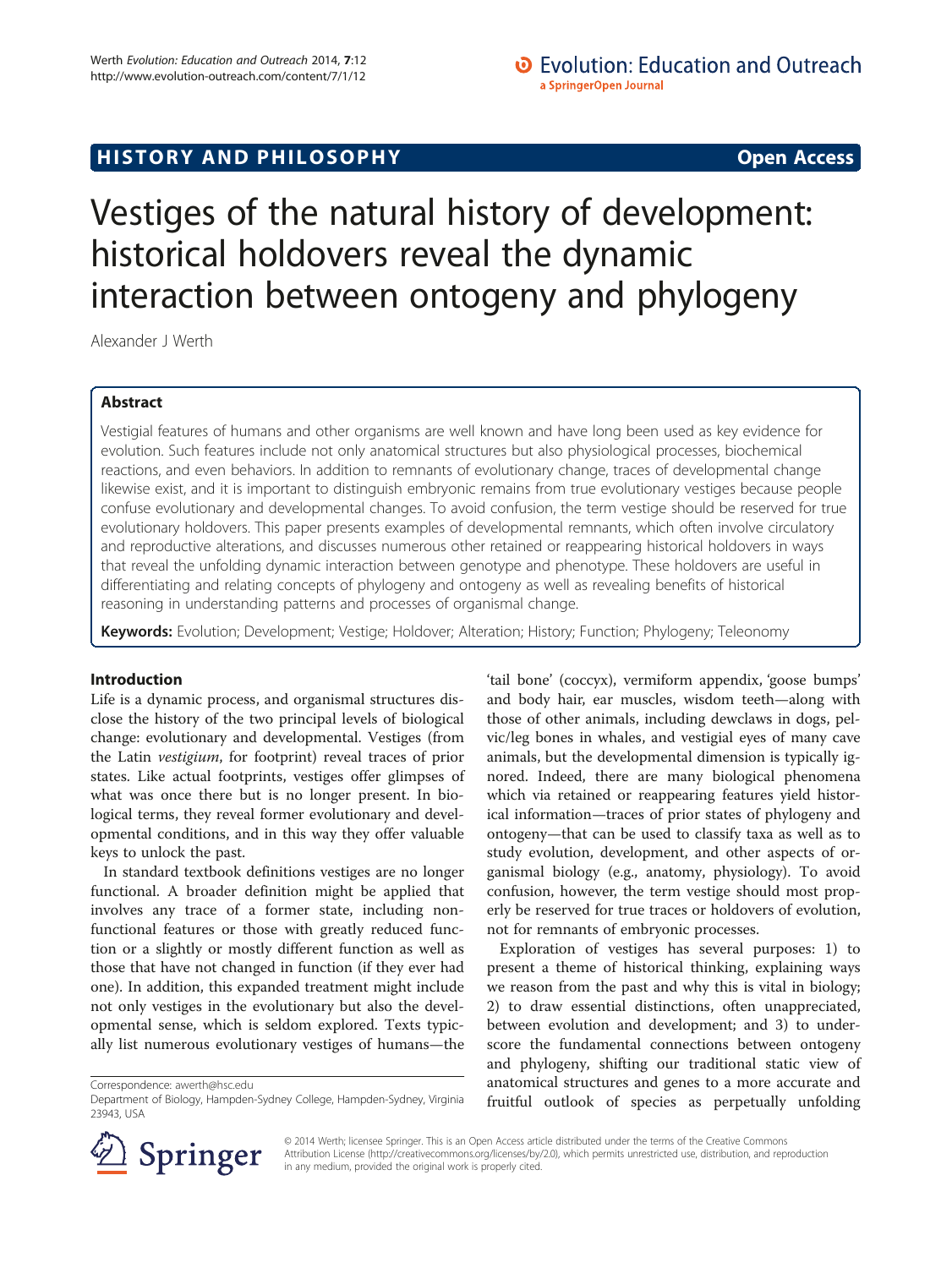# **HISTORY AND PHILOSOPHY CONSUMING A REACT CONSUMING A REACT OF ACCESS**

# Vestiges of the natural history of development: historical holdovers reveal the dynamic interaction between ontogeny and phylogeny

Alexander J Werth

# Abstract

Vestigial features of humans and other organisms are well known and have long been used as key evidence for evolution. Such features include not only anatomical structures but also physiological processes, biochemical reactions, and even behaviors. In addition to remnants of evolutionary change, traces of developmental change likewise exist, and it is important to distinguish embryonic remains from true evolutionary vestiges because people confuse evolutionary and developmental changes. To avoid confusion, the term vestige should be reserved for true evolutionary holdovers. This paper presents examples of developmental remnants, which often involve circulatory and reproductive alterations, and discusses numerous other retained or reappearing historical holdovers in ways that reveal the unfolding dynamic interaction between genotype and phenotype. These holdovers are useful in differentiating and relating concepts of phylogeny and ontogeny as well as revealing benefits of historical reasoning in understanding patterns and processes of organismal change.

Keywords: Evolution; Development; Vestige; Holdover; Alteration; History; Function; Phylogeny; Teleonomy

# Introduction

Life is a dynamic process, and organismal structures disclose the history of the two principal levels of biological change: evolutionary and developmental. Vestiges (from the Latin vestigium, for footprint) reveal traces of prior states. Like actual footprints, vestiges offer glimpses of what was once there but is no longer present. In biological terms, they reveal former evolutionary and developmental conditions, and in this way they offer valuable keys to unlock the past.

In standard textbook definitions vestiges are no longer functional. A broader definition might be applied that involves any trace of a former state, including nonfunctional features or those with greatly reduced function or a slightly or mostly different function as well as those that have not changed in function (if they ever had one). In addition, this expanded treatment might include not only vestiges in the evolutionary but also the developmental sense, which is seldom explored. Texts typically list numerous evolutionary vestiges of humans—the

Correspondence: [awerth@hsc.edu](mailto:awerth@hsc.edu)

'tail bone' (coccyx), vermiform appendix, 'goose bumps' and body hair, ear muscles, wisdom teeth—along with those of other animals, including dewclaws in dogs, pelvic/leg bones in whales, and vestigial eyes of many cave animals, but the developmental dimension is typically ignored. Indeed, there are many biological phenomena which via retained or reappearing features yield historical information—traces of prior states of phylogeny and ontogeny—that can be used to classify taxa as well as to study evolution, development, and other aspects of organismal biology (e.g., anatomy, physiology). To avoid confusion, however, the term vestige should most properly be reserved for true traces or holdovers of evolution, not for remnants of embryonic processes.

Exploration of vestiges has several purposes: 1) to present a theme of historical thinking, explaining ways we reason from the past and why this is vital in biology; 2) to draw essential distinctions, often unappreciated, between evolution and development; and 3) to underscore the fundamental connections between ontogeny and phylogeny, shifting our traditional static view of anatomical structures and genes to a more accurate and fruitful outlook of species as perpetually unfolding



© 2014 Werth; licensee Springer. This is an Open Access article distributed under the terms of the Creative Commons Attribution License [\(http://creativecommons.org/licenses/by/2.0\)](http://creativecommons.org/licenses/by/2.0), which permits unrestricted use, distribution, and reproduction in any medium, provided the original work is properly cited.

Department of Biology, Hampden-Sydney College, Hampden-Sydney, Virginia 23943, USA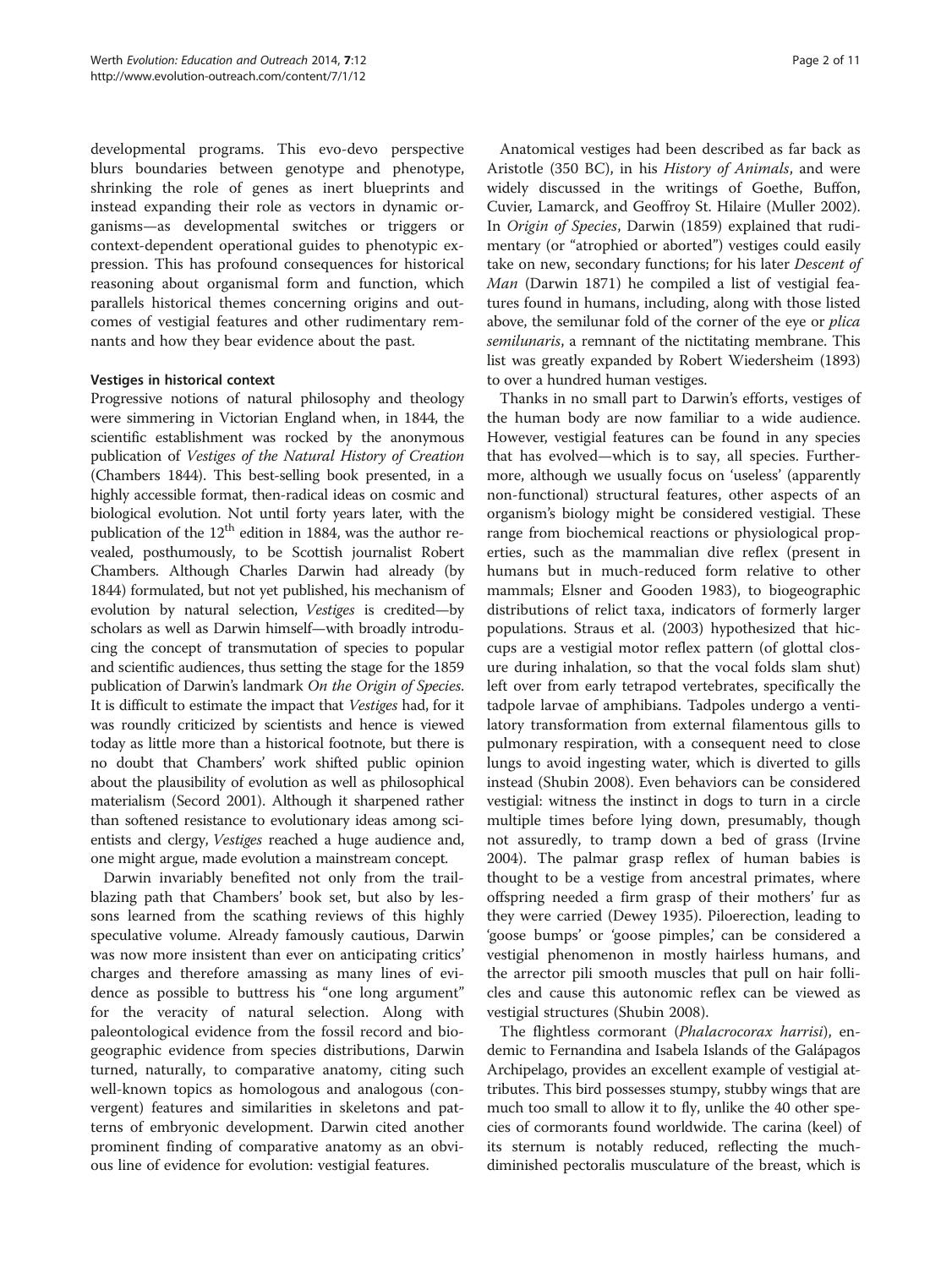developmental programs. This evo-devo perspective blurs boundaries between genotype and phenotype, shrinking the role of genes as inert blueprints and instead expanding their role as vectors in dynamic organisms—as developmental switches or triggers or context-dependent operational guides to phenotypic expression. This has profound consequences for historical reasoning about organismal form and function, which parallels historical themes concerning origins and outcomes of vestigial features and other rudimentary remnants and how they bear evidence about the past.

#### Vestiges in historical context

Progressive notions of natural philosophy and theology were simmering in Victorian England when, in 1844, the scientific establishment was rocked by the anonymous publication of Vestiges of the Natural History of Creation (Chambers [1844\)](#page-9-0). This best-selling book presented, in a highly accessible format, then-radical ideas on cosmic and biological evolution. Not until forty years later, with the publication of the  $12<sup>th</sup>$  edition in 1884, was the author revealed, posthumously, to be Scottish journalist Robert Chambers. Although Charles Darwin had already (by 1844) formulated, but not yet published, his mechanism of evolution by natural selection, Vestiges is credited—by scholars as well as Darwin himself—with broadly introducing the concept of transmutation of species to popular and scientific audiences, thus setting the stage for the 1859 publication of Darwin's landmark On the Origin of Species. It is difficult to estimate the impact that Vestiges had, for it was roundly criticized by scientists and hence is viewed today as little more than a historical footnote, but there is no doubt that Chambers' work shifted public opinion about the plausibility of evolution as well as philosophical materialism (Secord [2001\)](#page-10-0). Although it sharpened rather than softened resistance to evolutionary ideas among scientists and clergy, Vestiges reached a huge audience and, one might argue, made evolution a mainstream concept.

Darwin invariably benefited not only from the trailblazing path that Chambers' book set, but also by lessons learned from the scathing reviews of this highly speculative volume. Already famously cautious, Darwin was now more insistent than ever on anticipating critics' charges and therefore amassing as many lines of evidence as possible to buttress his "one long argument" for the veracity of natural selection. Along with paleontological evidence from the fossil record and biogeographic evidence from species distributions, Darwin turned, naturally, to comparative anatomy, citing such well-known topics as homologous and analogous (convergent) features and similarities in skeletons and patterns of embryonic development. Darwin cited another prominent finding of comparative anatomy as an obvious line of evidence for evolution: vestigial features.

Anatomical vestiges had been described as far back as Aristotle [\(350 BC\)](#page-9-0), in his History of Animals, and were widely discussed in the writings of Goethe, Buffon, Cuvier, Lamarck, and Geoffroy St. Hilaire (Muller [2002](#page-10-0)). In Origin of Species, Darwin [\(1859\)](#page-9-0) explained that rudimentary (or "atrophied or aborted") vestiges could easily take on new, secondary functions; for his later *Descent of* Man (Darwin [1871\)](#page-9-0) he compiled a list of vestigial features found in humans, including, along with those listed above, the semilunar fold of the corner of the eye or plica semilunaris, a remnant of the nictitating membrane. This list was greatly expanded by Robert Wiedersheim [\(1893](#page-10-0)) to over a hundred human vestiges.

Thanks in no small part to Darwin's efforts, vestiges of the human body are now familiar to a wide audience. However, vestigial features can be found in any species that has evolved—which is to say, all species. Furthermore, although we usually focus on 'useless' (apparently non-functional) structural features, other aspects of an organism's biology might be considered vestigial. These range from biochemical reactions or physiological properties, such as the mammalian dive reflex (present in humans but in much-reduced form relative to other mammals; Elsner and Gooden [1983](#page-9-0)), to biogeographic distributions of relict taxa, indicators of formerly larger populations. Straus et al. ([2003](#page-10-0)) hypothesized that hiccups are a vestigial motor reflex pattern (of glottal closure during inhalation, so that the vocal folds slam shut) left over from early tetrapod vertebrates, specifically the tadpole larvae of amphibians. Tadpoles undergo a ventilatory transformation from external filamentous gills to pulmonary respiration, with a consequent need to close lungs to avoid ingesting water, which is diverted to gills instead (Shubin [2008](#page-10-0)). Even behaviors can be considered vestigial: witness the instinct in dogs to turn in a circle multiple times before lying down, presumably, though not assuredly, to tramp down a bed of grass (Irvine [2004](#page-9-0)). The palmar grasp reflex of human babies is thought to be a vestige from ancestral primates, where offspring needed a firm grasp of their mothers' fur as they were carried (Dewey [1935\)](#page-9-0). Piloerection, leading to 'goose bumps' or 'goose pimples,' can be considered a vestigial phenomenon in mostly hairless humans, and the arrector pili smooth muscles that pull on hair follicles and cause this autonomic reflex can be viewed as vestigial structures (Shubin [2008](#page-10-0)).

The flightless cormorant (Phalacrocorax harrisi), endemic to Fernandina and Isabela Islands of the Galápagos Archipelago, provides an excellent example of vestigial attributes. This bird possesses stumpy, stubby wings that are much too small to allow it to fly, unlike the 40 other species of cormorants found worldwide. The carina (keel) of its sternum is notably reduced, reflecting the muchdiminished pectoralis musculature of the breast, which is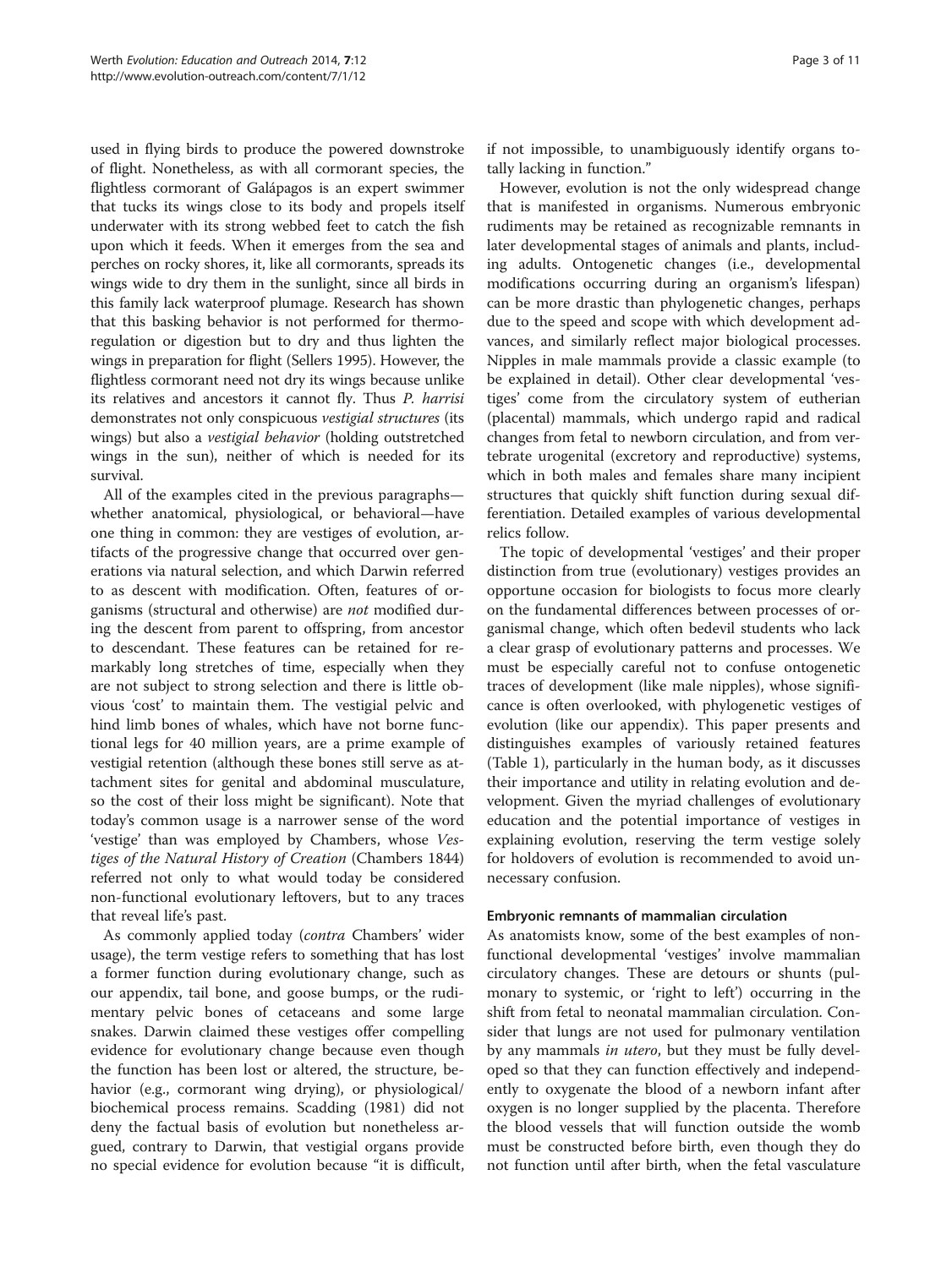used in flying birds to produce the powered downstroke of flight. Nonetheless, as with all cormorant species, the flightless cormorant of Galápagos is an expert swimmer that tucks its wings close to its body and propels itself underwater with its strong webbed feet to catch the fish upon which it feeds. When it emerges from the sea and perches on rocky shores, it, like all cormorants, spreads its wings wide to dry them in the sunlight, since all birds in this family lack waterproof plumage. Research has shown that this basking behavior is not performed for thermoregulation or digestion but to dry and thus lighten the wings in preparation for flight (Sellers [1995\)](#page-10-0). However, the flightless cormorant need not dry its wings because unlike its relatives and ancestors it cannot fly. Thus P. harrisi demonstrates not only conspicuous vestigial structures (its wings) but also a vestigial behavior (holding outstretched wings in the sun), neither of which is needed for its survival.

All of the examples cited in the previous paragraphs whether anatomical, physiological, or behavioral—have one thing in common: they are vestiges of evolution, artifacts of the progressive change that occurred over generations via natural selection, and which Darwin referred to as descent with modification. Often, features of organisms (structural and otherwise) are not modified during the descent from parent to offspring, from ancestor to descendant. These features can be retained for remarkably long stretches of time, especially when they are not subject to strong selection and there is little obvious 'cost' to maintain them. The vestigial pelvic and hind limb bones of whales, which have not borne functional legs for 40 million years, are a prime example of vestigial retention (although these bones still serve as attachment sites for genital and abdominal musculature, so the cost of their loss might be significant). Note that today's common usage is a narrower sense of the word 'vestige' than was employed by Chambers, whose Vestiges of the Natural History of Creation (Chambers [1844](#page-9-0)) referred not only to what would today be considered non-functional evolutionary leftovers, but to any traces that reveal life's past.

As commonly applied today (contra Chambers' wider usage), the term vestige refers to something that has lost a former function during evolutionary change, such as our appendix, tail bone, and goose bumps, or the rudimentary pelvic bones of cetaceans and some large snakes. Darwin claimed these vestiges offer compelling evidence for evolutionary change because even though the function has been lost or altered, the structure, behavior (e.g., cormorant wing drying), or physiological/ biochemical process remains. Scadding ([1981\)](#page-10-0) did not deny the factual basis of evolution but nonetheless argued, contrary to Darwin, that vestigial organs provide no special evidence for evolution because "it is difficult,

if not impossible, to unambiguously identify organs totally lacking in function."

However, evolution is not the only widespread change that is manifested in organisms. Numerous embryonic rudiments may be retained as recognizable remnants in later developmental stages of animals and plants, including adults. Ontogenetic changes (i.e., developmental modifications occurring during an organism's lifespan) can be more drastic than phylogenetic changes, perhaps due to the speed and scope with which development advances, and similarly reflect major biological processes. Nipples in male mammals provide a classic example (to be explained in detail). Other clear developmental 'vestiges' come from the circulatory system of eutherian (placental) mammals, which undergo rapid and radical changes from fetal to newborn circulation, and from vertebrate urogenital (excretory and reproductive) systems, which in both males and females share many incipient structures that quickly shift function during sexual differentiation. Detailed examples of various developmental relics follow.

The topic of developmental 'vestiges' and their proper distinction from true (evolutionary) vestiges provides an opportune occasion for biologists to focus more clearly on the fundamental differences between processes of organismal change, which often bedevil students who lack a clear grasp of evolutionary patterns and processes. We must be especially careful not to confuse ontogenetic traces of development (like male nipples), whose significance is often overlooked, with phylogenetic vestiges of evolution (like our appendix). This paper presents and distinguishes examples of variously retained features (Table [1](#page-3-0)), particularly in the human body, as it discusses their importance and utility in relating evolution and development. Given the myriad challenges of evolutionary education and the potential importance of vestiges in explaining evolution, reserving the term vestige solely for holdovers of evolution is recommended to avoid unnecessary confusion.

#### Embryonic remnants of mammalian circulation

As anatomists know, some of the best examples of nonfunctional developmental 'vestiges' involve mammalian circulatory changes. These are detours or shunts (pulmonary to systemic, or 'right to left') occurring in the shift from fetal to neonatal mammalian circulation. Consider that lungs are not used for pulmonary ventilation by any mammals *in utero*, but they must be fully developed so that they can function effectively and independently to oxygenate the blood of a newborn infant after oxygen is no longer supplied by the placenta. Therefore the blood vessels that will function outside the womb must be constructed before birth, even though they do not function until after birth, when the fetal vasculature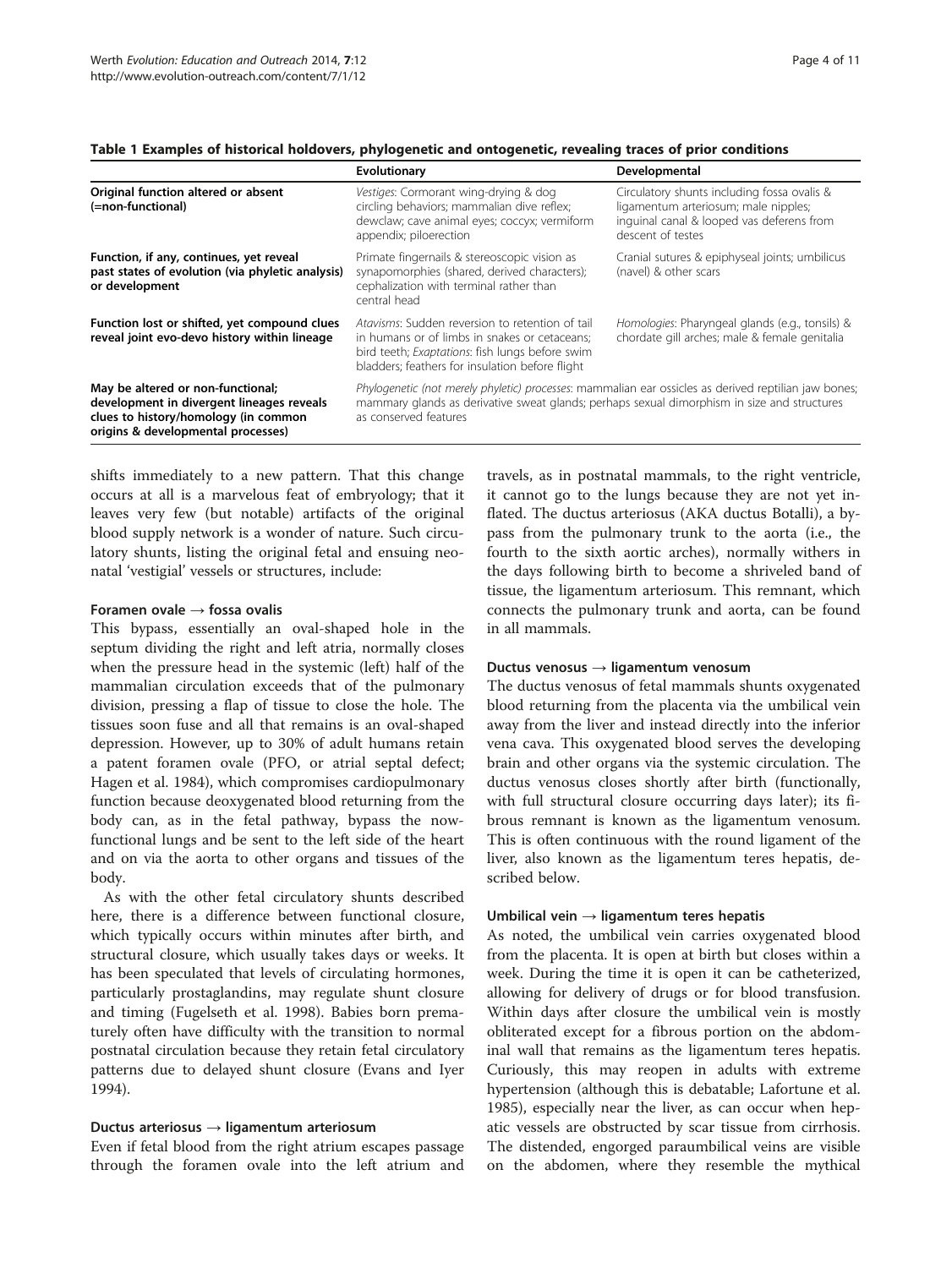|                                                                                                                                                              | Evolutionary                                                                                                                                                                                                                 | Developmental                                                                                                                                         |
|--------------------------------------------------------------------------------------------------------------------------------------------------------------|------------------------------------------------------------------------------------------------------------------------------------------------------------------------------------------------------------------------------|-------------------------------------------------------------------------------------------------------------------------------------------------------|
| Original function altered or absent<br>(=non-functional)                                                                                                     | Vestiges: Cormorant wing-drying & dog<br>circling behaviors; mammalian dive reflex;<br>dewclaw; cave animal eyes; coccyx; vermiform<br>appendix; piloerection                                                                | Circulatory shunts including fossa ovalis &<br>ligamentum arteriosum; male nipples;<br>inguinal canal & looped vas deferens from<br>descent of testes |
| Function, if any, continues, yet reveal<br>past states of evolution (via phyletic analysis)<br>or development                                                | Primate fingernails & stereoscopic vision as<br>synapomorphies (shared, derived characters);<br>cephalization with terminal rather than<br>central head                                                                      | Cranial sutures & epiphyseal joints; umbilicus<br>(navel) & other scars                                                                               |
| Function lost or shifted, yet compound clues<br>reveal joint evo-devo history within lineage                                                                 | Atavisms: Sudden reversion to retention of tail<br>in humans or of limbs in snakes or cetaceans:<br>bird teeth; Exaptations: fish lungs before swim<br>bladders; feathers for insulation before flight                       | Homologies: Pharyngeal glands (e.g., tonsils) &<br>chordate gill arches; male & female genitalia                                                      |
| May be altered or non-functional;<br>development in divergent lineages reveals<br>clues to history/homology (in common<br>origins & developmental processes) | Phylogenetic (not merely phyletic) processes: mammalian ear ossicles as derived reptilian jaw bones;<br>mammary glands as derivative sweat glands; perhaps sexual dimorphism in size and structures<br>as conserved features |                                                                                                                                                       |

#### <span id="page-3-0"></span>Table 1 Examples of historical holdovers, phylogenetic and ontogenetic, revealing traces of prior conditions

shifts immediately to a new pattern. That this change occurs at all is a marvelous feat of embryology; that it leaves very few (but notable) artifacts of the original blood supply network is a wonder of nature. Such circulatory shunts, listing the original fetal and ensuing neonatal 'vestigial' vessels or structures, include:

#### Foramen ovale  $\rightarrow$  fossa ovalis

This bypass, essentially an oval-shaped hole in the septum dividing the right and left atria, normally closes when the pressure head in the systemic (left) half of the mammalian circulation exceeds that of the pulmonary division, pressing a flap of tissue to close the hole. The tissues soon fuse and all that remains is an oval-shaped depression. However, up to 30% of adult humans retain a patent foramen ovale (PFO, or atrial septal defect; Hagen et al. [1984](#page-9-0)), which compromises cardiopulmonary function because deoxygenated blood returning from the body can, as in the fetal pathway, bypass the nowfunctional lungs and be sent to the left side of the heart and on via the aorta to other organs and tissues of the body.

As with the other fetal circulatory shunts described here, there is a difference between functional closure, which typically occurs within minutes after birth, and structural closure, which usually takes days or weeks. It has been speculated that levels of circulating hormones, particularly prostaglandins, may regulate shunt closure and timing (Fugelseth et al. [1998\)](#page-9-0). Babies born prematurely often have difficulty with the transition to normal postnatal circulation because they retain fetal circulatory patterns due to delayed shunt closure (Evans and Iyer [1994](#page-9-0)).

#### Ductus arteriosus  $\rightarrow$  ligamentum arteriosum

Even if fetal blood from the right atrium escapes passage through the foramen ovale into the left atrium and

travels, as in postnatal mammals, to the right ventricle, it cannot go to the lungs because they are not yet inflated. The ductus arteriosus (AKA ductus Botalli), a bypass from the pulmonary trunk to the aorta (i.e., the fourth to the sixth aortic arches), normally withers in the days following birth to become a shriveled band of tissue, the ligamentum arteriosum. This remnant, which connects the pulmonary trunk and aorta, can be found in all mammals.

#### Ductus venosus → ligamentum venosum

The ductus venosus of fetal mammals shunts oxygenated blood returning from the placenta via the umbilical vein away from the liver and instead directly into the inferior vena cava. This oxygenated blood serves the developing brain and other organs via the systemic circulation. The ductus venosus closes shortly after birth (functionally, with full structural closure occurring days later); its fibrous remnant is known as the ligamentum venosum. This is often continuous with the round ligament of the liver, also known as the ligamentum teres hepatis, described below.

#### Umbilical vein  $\rightarrow$  ligamentum teres hepatis

As noted, the umbilical vein carries oxygenated blood from the placenta. It is open at birth but closes within a week. During the time it is open it can be catheterized, allowing for delivery of drugs or for blood transfusion. Within days after closure the umbilical vein is mostly obliterated except for a fibrous portion on the abdominal wall that remains as the ligamentum teres hepatis. Curiously, this may reopen in adults with extreme hypertension (although this is debatable; Lafortune et al. [1985](#page-10-0)), especially near the liver, as can occur when hepatic vessels are obstructed by scar tissue from cirrhosis. The distended, engorged paraumbilical veins are visible on the abdomen, where they resemble the mythical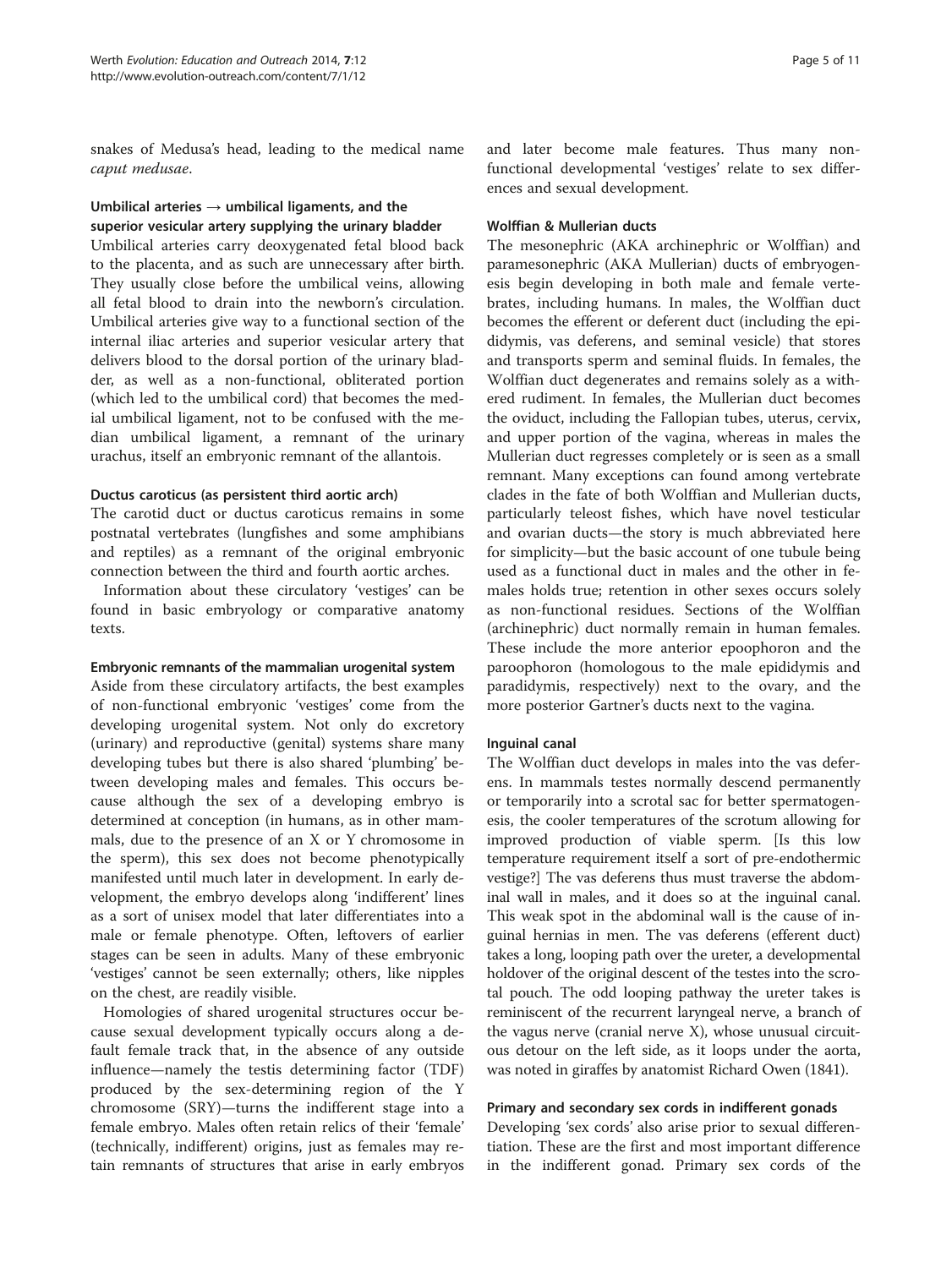snakes of Medusa's head, leading to the medical name caput medusae.

#### Umbilical arteries  $\rightarrow$  umbilical ligaments, and the superior vesicular artery supplying the urinary bladder

Umbilical arteries carry deoxygenated fetal blood back to the placenta, and as such are unnecessary after birth. They usually close before the umbilical veins, allowing all fetal blood to drain into the newborn's circulation. Umbilical arteries give way to a functional section of the internal iliac arteries and superior vesicular artery that delivers blood to the dorsal portion of the urinary bladder, as well as a non-functional, obliterated portion (which led to the umbilical cord) that becomes the medial umbilical ligament, not to be confused with the median umbilical ligament, a remnant of the urinary urachus, itself an embryonic remnant of the allantois.

#### Ductus caroticus (as persistent third aortic arch)

The carotid duct or ductus caroticus remains in some postnatal vertebrates (lungfishes and some amphibians and reptiles) as a remnant of the original embryonic connection between the third and fourth aortic arches.

Information about these circulatory 'vestiges' can be found in basic embryology or comparative anatomy texts.

# Embryonic remnants of the mammalian urogenital system

Aside from these circulatory artifacts, the best examples of non-functional embryonic 'vestiges' come from the developing urogenital system. Not only do excretory (urinary) and reproductive (genital) systems share many developing tubes but there is also shared 'plumbing' between developing males and females. This occurs because although the sex of a developing embryo is determined at conception (in humans, as in other mammals, due to the presence of an X or Y chromosome in the sperm), this sex does not become phenotypically manifested until much later in development. In early development, the embryo develops along 'indifferent' lines as a sort of unisex model that later differentiates into a male or female phenotype. Often, leftovers of earlier stages can be seen in adults. Many of these embryonic 'vestiges' cannot be seen externally; others, like nipples on the chest, are readily visible.

Homologies of shared urogenital structures occur because sexual development typically occurs along a default female track that, in the absence of any outside influence—namely the testis determining factor (TDF) produced by the sex-determining region of the Y chromosome (SRY)—turns the indifferent stage into a female embryo. Males often retain relics of their 'female' (technically, indifferent) origins, just as females may retain remnants of structures that arise in early embryos

and later become male features. Thus many nonfunctional developmental 'vestiges' relate to sex differences and sexual development.

#### Wolffian & Mullerian ducts

The mesonephric (AKA archinephric or Wolffian) and paramesonephric (AKA Mullerian) ducts of embryogenesis begin developing in both male and female vertebrates, including humans. In males, the Wolffian duct becomes the efferent or deferent duct (including the epididymis, vas deferens, and seminal vesicle) that stores and transports sperm and seminal fluids. In females, the Wolffian duct degenerates and remains solely as a withered rudiment. In females, the Mullerian duct becomes the oviduct, including the Fallopian tubes, uterus, cervix, and upper portion of the vagina, whereas in males the Mullerian duct regresses completely or is seen as a small remnant. Many exceptions can found among vertebrate clades in the fate of both Wolffian and Mullerian ducts, particularly teleost fishes, which have novel testicular and ovarian ducts—the story is much abbreviated here for simplicity—but the basic account of one tubule being used as a functional duct in males and the other in females holds true; retention in other sexes occurs solely as non-functional residues. Sections of the Wolffian (archinephric) duct normally remain in human females. These include the more anterior epoophoron and the paroophoron (homologous to the male epididymis and paradidymis, respectively) next to the ovary, and the more posterior Gartner's ducts next to the vagina.

# Inguinal canal

The Wolffian duct develops in males into the vas deferens. In mammals testes normally descend permanently or temporarily into a scrotal sac for better spermatogenesis, the cooler temperatures of the scrotum allowing for improved production of viable sperm. [Is this low temperature requirement itself a sort of pre-endothermic vestige?] The vas deferens thus must traverse the abdominal wall in males, and it does so at the inguinal canal. This weak spot in the abdominal wall is the cause of inguinal hernias in men. The vas deferens (efferent duct) takes a long, looping path over the ureter, a developmental holdover of the original descent of the testes into the scrotal pouch. The odd looping pathway the ureter takes is reminiscent of the recurrent laryngeal nerve, a branch of the vagus nerve (cranial nerve X), whose unusual circuitous detour on the left side, as it loops under the aorta, was noted in giraffes by anatomist Richard Owen ([1841\)](#page-10-0).

# Primary and secondary sex cords in indifferent gonads

Developing 'sex cords' also arise prior to sexual differentiation. These are the first and most important difference in the indifferent gonad. Primary sex cords of the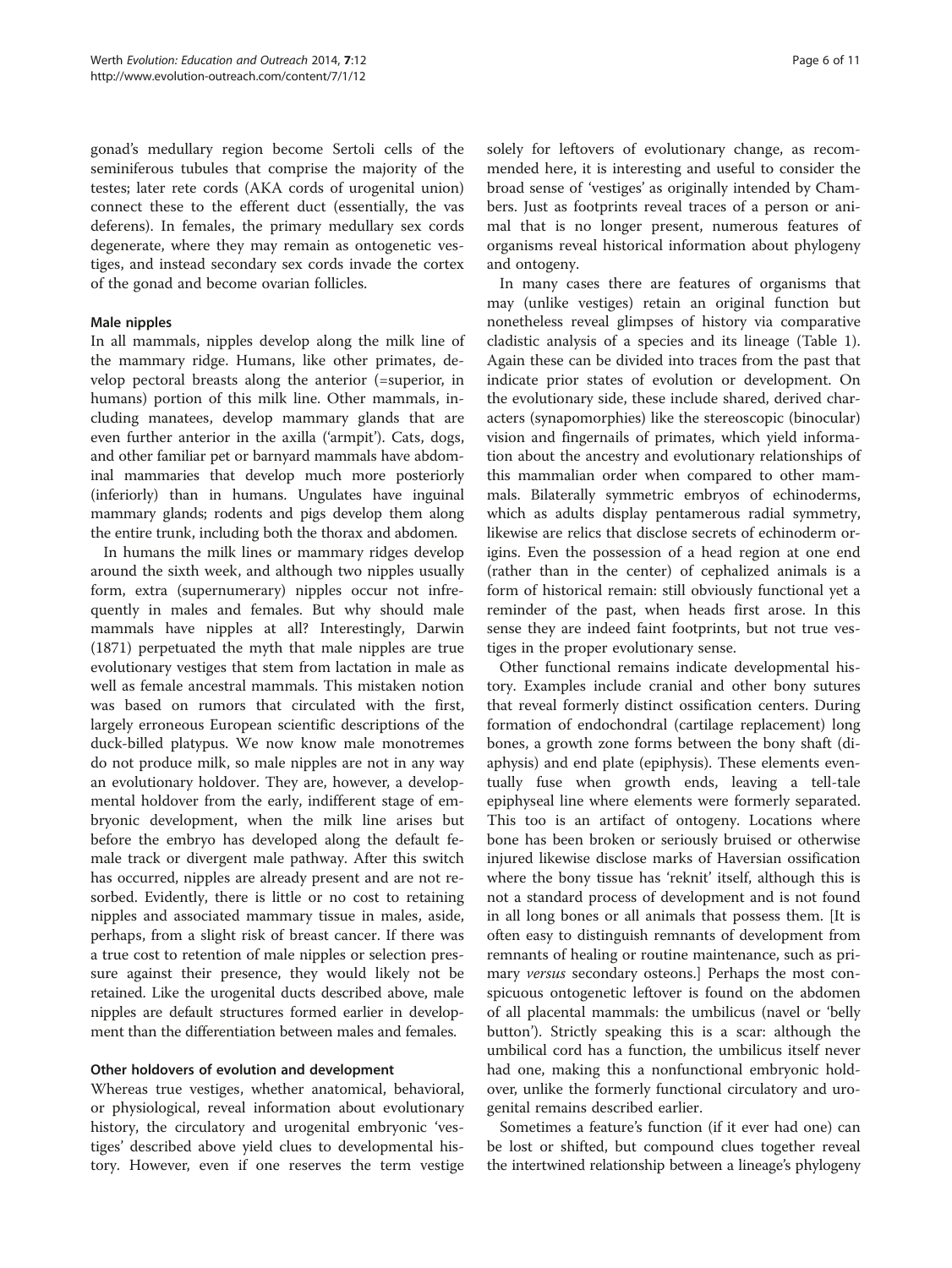gonad's medullary region become Sertoli cells of the seminiferous tubules that comprise the majority of the testes; later rete cords (AKA cords of urogenital union) connect these to the efferent duct (essentially, the vas deferens). In females, the primary medullary sex cords degenerate, where they may remain as ontogenetic vestiges, and instead secondary sex cords invade the cortex of the gonad and become ovarian follicles.

#### Male nipples

In all mammals, nipples develop along the milk line of the mammary ridge. Humans, like other primates, develop pectoral breasts along the anterior (=superior, in humans) portion of this milk line. Other mammals, including manatees, develop mammary glands that are even further anterior in the axilla ('armpit'). Cats, dogs, and other familiar pet or barnyard mammals have abdominal mammaries that develop much more posteriorly (inferiorly) than in humans. Ungulates have inguinal mammary glands; rodents and pigs develop them along the entire trunk, including both the thorax and abdomen.

In humans the milk lines or mammary ridges develop around the sixth week, and although two nipples usually form, extra (supernumerary) nipples occur not infrequently in males and females. But why should male mammals have nipples at all? Interestingly, Darwin ([1871](#page-9-0)) perpetuated the myth that male nipples are true evolutionary vestiges that stem from lactation in male as well as female ancestral mammals. This mistaken notion was based on rumors that circulated with the first, largely erroneous European scientific descriptions of the duck-billed platypus. We now know male monotremes do not produce milk, so male nipples are not in any way an evolutionary holdover. They are, however, a developmental holdover from the early, indifferent stage of embryonic development, when the milk line arises but before the embryo has developed along the default female track or divergent male pathway. After this switch has occurred, nipples are already present and are not resorbed. Evidently, there is little or no cost to retaining nipples and associated mammary tissue in males, aside, perhaps, from a slight risk of breast cancer. If there was a true cost to retention of male nipples or selection pressure against their presence, they would likely not be retained. Like the urogenital ducts described above, male nipples are default structures formed earlier in development than the differentiation between males and females.

#### Other holdovers of evolution and development

Whereas true vestiges, whether anatomical, behavioral, or physiological, reveal information about evolutionary history, the circulatory and urogenital embryonic 'vestiges' described above yield clues to developmental history. However, even if one reserves the term vestige

solely for leftovers of evolutionary change, as recommended here, it is interesting and useful to consider the broad sense of 'vestiges' as originally intended by Chambers. Just as footprints reveal traces of a person or animal that is no longer present, numerous features of organisms reveal historical information about phylogeny and ontogeny.

In many cases there are features of organisms that may (unlike vestiges) retain an original function but nonetheless reveal glimpses of history via comparative cladistic analysis of a species and its lineage (Table [1](#page-3-0)). Again these can be divided into traces from the past that indicate prior states of evolution or development. On the evolutionary side, these include shared, derived characters (synapomorphies) like the stereoscopic (binocular) vision and fingernails of primates, which yield information about the ancestry and evolutionary relationships of this mammalian order when compared to other mammals. Bilaterally symmetric embryos of echinoderms, which as adults display pentamerous radial symmetry, likewise are relics that disclose secrets of echinoderm origins. Even the possession of a head region at one end (rather than in the center) of cephalized animals is a form of historical remain: still obviously functional yet a reminder of the past, when heads first arose. In this sense they are indeed faint footprints, but not true vestiges in the proper evolutionary sense.

Other functional remains indicate developmental history. Examples include cranial and other bony sutures that reveal formerly distinct ossification centers. During formation of endochondral (cartilage replacement) long bones, a growth zone forms between the bony shaft (diaphysis) and end plate (epiphysis). These elements eventually fuse when growth ends, leaving a tell-tale epiphyseal line where elements were formerly separated. This too is an artifact of ontogeny. Locations where bone has been broken or seriously bruised or otherwise injured likewise disclose marks of Haversian ossification where the bony tissue has 'reknit' itself, although this is not a standard process of development and is not found in all long bones or all animals that possess them. [It is often easy to distinguish remnants of development from remnants of healing or routine maintenance, such as primary *versus* secondary osteons.] Perhaps the most conspicuous ontogenetic leftover is found on the abdomen of all placental mammals: the umbilicus (navel or 'belly button'). Strictly speaking this is a scar: although the umbilical cord has a function, the umbilicus itself never had one, making this a nonfunctional embryonic holdover, unlike the formerly functional circulatory and urogenital remains described earlier.

Sometimes a feature's function (if it ever had one) can be lost or shifted, but compound clues together reveal the intertwined relationship between a lineage's phylogeny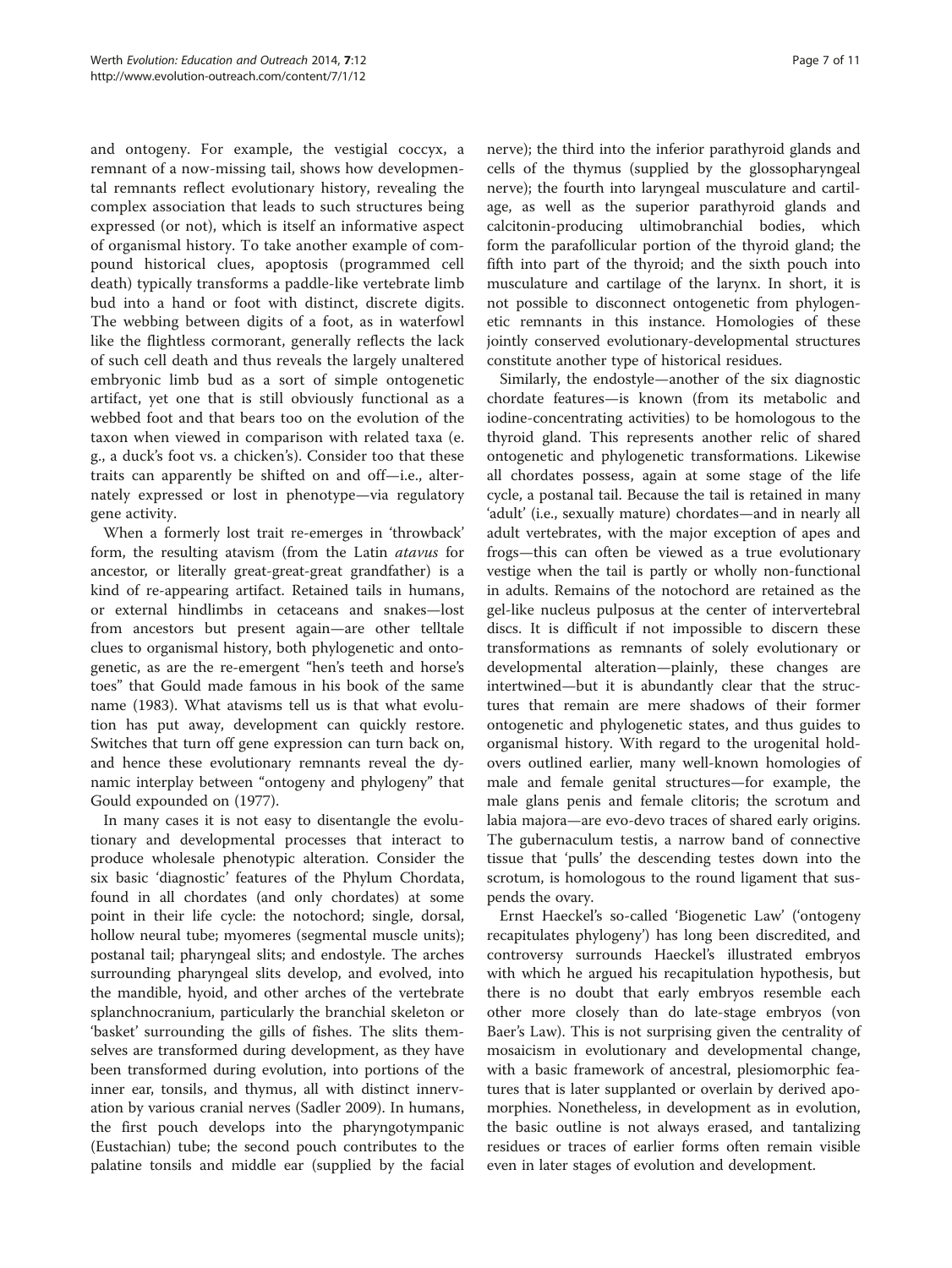and ontogeny. For example, the vestigial coccyx, a remnant of a now-missing tail, shows how developmental remnants reflect evolutionary history, revealing the complex association that leads to such structures being expressed (or not), which is itself an informative aspect of organismal history. To take another example of compound historical clues, apoptosis (programmed cell death) typically transforms a paddle-like vertebrate limb bud into a hand or foot with distinct, discrete digits. The webbing between digits of a foot, as in waterfowl like the flightless cormorant, generally reflects the lack of such cell death and thus reveals the largely unaltered embryonic limb bud as a sort of simple ontogenetic artifact, yet one that is still obviously functional as a webbed foot and that bears too on the evolution of the taxon when viewed in comparison with related taxa (e. g., a duck's foot vs. a chicken's). Consider too that these traits can apparently be shifted on and off—i.e., alternately expressed or lost in phenotype—via regulatory gene activity.

When a formerly lost trait re-emerges in 'throwback' form, the resulting atavism (from the Latin atavus for ancestor, or literally great-great-great grandfather) is a kind of re-appearing artifact. Retained tails in humans, or external hindlimbs in cetaceans and snakes—lost from ancestors but present again—are other telltale clues to organismal history, both phylogenetic and ontogenetic, as are the re-emergent "hen's teeth and horse's toes" that Gould made famous in his book of the same name [\(1983\)](#page-9-0). What atavisms tell us is that what evolution has put away, development can quickly restore. Switches that turn off gene expression can turn back on, and hence these evolutionary remnants reveal the dynamic interplay between "ontogeny and phylogeny" that Gould expounded on ([1977](#page-9-0)).

In many cases it is not easy to disentangle the evolutionary and developmental processes that interact to produce wholesale phenotypic alteration. Consider the six basic 'diagnostic' features of the Phylum Chordata, found in all chordates (and only chordates) at some point in their life cycle: the notochord; single, dorsal, hollow neural tube; myomeres (segmental muscle units); postanal tail; pharyngeal slits; and endostyle. The arches surrounding pharyngeal slits develop, and evolved, into the mandible, hyoid, and other arches of the vertebrate splanchnocranium, particularly the branchial skeleton or 'basket' surrounding the gills of fishes. The slits themselves are transformed during development, as they have been transformed during evolution, into portions of the inner ear, tonsils, and thymus, all with distinct innervation by various cranial nerves (Sadler [2009\)](#page-10-0). In humans, the first pouch develops into the pharyngotympanic (Eustachian) tube; the second pouch contributes to the palatine tonsils and middle ear (supplied by the facial

nerve); the third into the inferior parathyroid glands and cells of the thymus (supplied by the glossopharyngeal nerve); the fourth into laryngeal musculature and cartilage, as well as the superior parathyroid glands and calcitonin-producing ultimobranchial bodies, which form the parafollicular portion of the thyroid gland; the fifth into part of the thyroid; and the sixth pouch into musculature and cartilage of the larynx. In short, it is not possible to disconnect ontogenetic from phylogenetic remnants in this instance. Homologies of these jointly conserved evolutionary-developmental structures constitute another type of historical residues.

Similarly, the endostyle—another of the six diagnostic chordate features—is known (from its metabolic and iodine-concentrating activities) to be homologous to the thyroid gland. This represents another relic of shared ontogenetic and phylogenetic transformations. Likewise all chordates possess, again at some stage of the life cycle, a postanal tail. Because the tail is retained in many 'adult' (i.e., sexually mature) chordates—and in nearly all adult vertebrates, with the major exception of apes and frogs—this can often be viewed as a true evolutionary vestige when the tail is partly or wholly non-functional in adults. Remains of the notochord are retained as the gel-like nucleus pulposus at the center of intervertebral discs. It is difficult if not impossible to discern these transformations as remnants of solely evolutionary or developmental alteration—plainly, these changes are intertwined—but it is abundantly clear that the structures that remain are mere shadows of their former ontogenetic and phylogenetic states, and thus guides to organismal history. With regard to the urogenital holdovers outlined earlier, many well-known homologies of male and female genital structures—for example, the male glans penis and female clitoris; the scrotum and labia majora—are evo-devo traces of shared early origins. The gubernaculum testis, a narrow band of connective tissue that 'pulls' the descending testes down into the scrotum, is homologous to the round ligament that suspends the ovary.

Ernst Haeckel's so-called 'Biogenetic Law' ('ontogeny recapitulates phylogeny') has long been discredited, and controversy surrounds Haeckel's illustrated embryos with which he argued his recapitulation hypothesis, but there is no doubt that early embryos resemble each other more closely than do late-stage embryos (von Baer's Law). This is not surprising given the centrality of mosaicism in evolutionary and developmental change, with a basic framework of ancestral, plesiomorphic features that is later supplanted or overlain by derived apomorphies. Nonetheless, in development as in evolution, the basic outline is not always erased, and tantalizing residues or traces of earlier forms often remain visible even in later stages of evolution and development.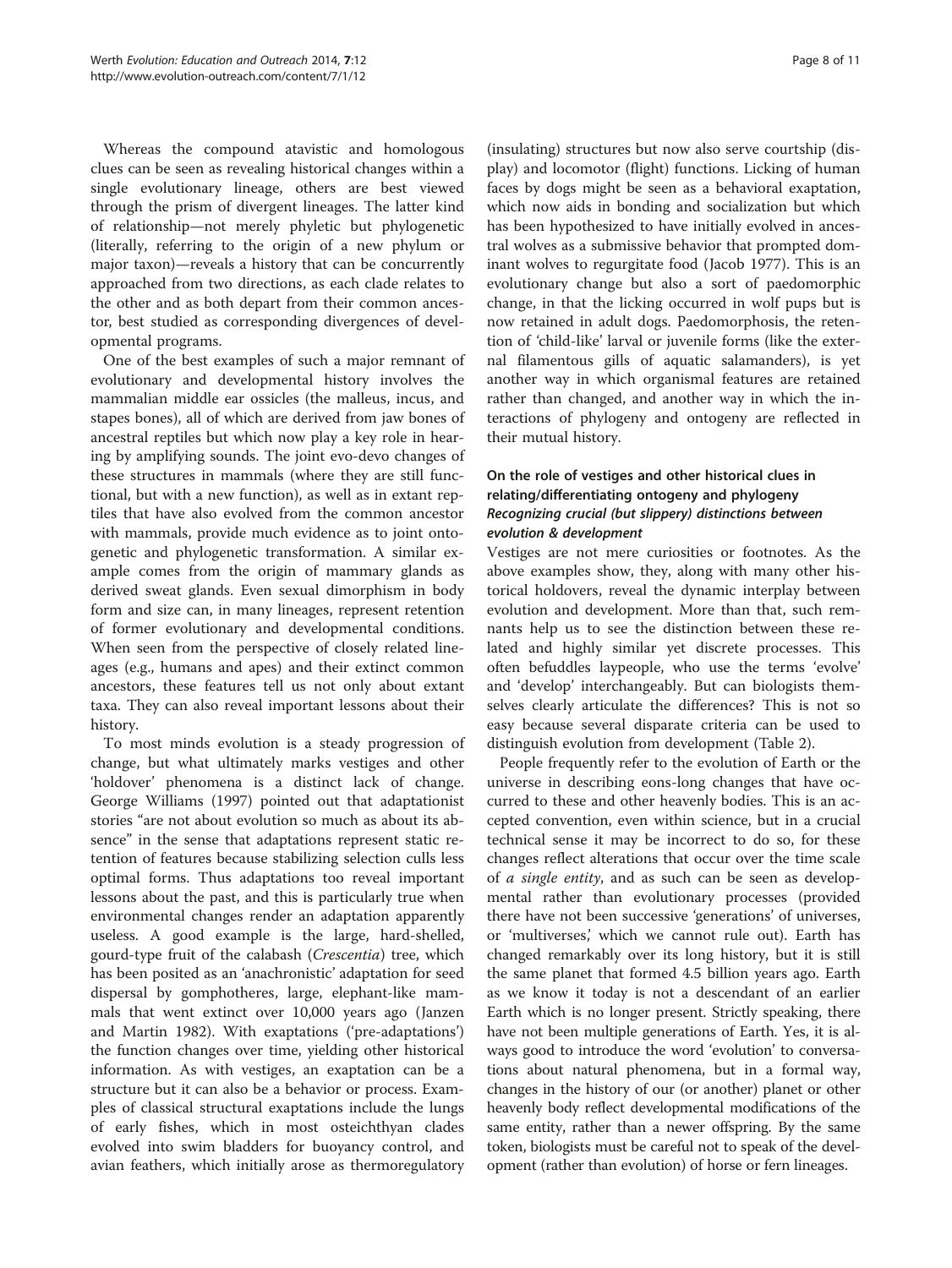Whereas the compound atavistic and homologous clues can be seen as revealing historical changes within a single evolutionary lineage, others are best viewed through the prism of divergent lineages. The latter kind of relationship—not merely phyletic but phylogenetic (literally, referring to the origin of a new phylum or major taxon)—reveals a history that can be concurrently approached from two directions, as each clade relates to the other and as both depart from their common ancestor, best studied as corresponding divergences of developmental programs.

One of the best examples of such a major remnant of evolutionary and developmental history involves the mammalian middle ear ossicles (the malleus, incus, and stapes bones), all of which are derived from jaw bones of ancestral reptiles but which now play a key role in hearing by amplifying sounds. The joint evo-devo changes of these structures in mammals (where they are still functional, but with a new function), as well as in extant reptiles that have also evolved from the common ancestor with mammals, provide much evidence as to joint ontogenetic and phylogenetic transformation. A similar example comes from the origin of mammary glands as derived sweat glands. Even sexual dimorphism in body form and size can, in many lineages, represent retention of former evolutionary and developmental conditions. When seen from the perspective of closely related lineages (e.g., humans and apes) and their extinct common ancestors, these features tell us not only about extant taxa. They can also reveal important lessons about their history.

To most minds evolution is a steady progression of change, but what ultimately marks vestiges and other 'holdover' phenomena is a distinct lack of change. George Williams [\(1997](#page-10-0)) pointed out that adaptationist stories "are not about evolution so much as about its absence" in the sense that adaptations represent static retention of features because stabilizing selection culls less optimal forms. Thus adaptations too reveal important lessons about the past, and this is particularly true when environmental changes render an adaptation apparently useless. A good example is the large, hard-shelled, gourd-type fruit of the calabash (Crescentia) tree, which has been posited as an 'anachronistic' adaptation for seed dispersal by gomphotheres, large, elephant-like mammals that went extinct over 10,000 years ago (Janzen and Martin [1982](#page-9-0)). With exaptations ('pre-adaptations') the function changes over time, yielding other historical information. As with vestiges, an exaptation can be a structure but it can also be a behavior or process. Examples of classical structural exaptations include the lungs of early fishes, which in most osteichthyan clades evolved into swim bladders for buoyancy control, and avian feathers, which initially arose as thermoregulatory

(insulating) structures but now also serve courtship (display) and locomotor (flight) functions. Licking of human faces by dogs might be seen as a behavioral exaptation, which now aids in bonding and socialization but which has been hypothesized to have initially evolved in ancestral wolves as a submissive behavior that prompted dominant wolves to regurgitate food (Jacob [1977\)](#page-9-0). This is an evolutionary change but also a sort of paedomorphic change, in that the licking occurred in wolf pups but is now retained in adult dogs. Paedomorphosis, the retention of 'child-like' larval or juvenile forms (like the external filamentous gills of aquatic salamanders), is yet another way in which organismal features are retained rather than changed, and another way in which the interactions of phylogeny and ontogeny are reflected in their mutual history.

# On the role of vestiges and other historical clues in relating/differentiating ontogeny and phylogeny Recognizing crucial (but slippery) distinctions between evolution & development

Vestiges are not mere curiosities or footnotes. As the above examples show, they, along with many other historical holdovers, reveal the dynamic interplay between evolution and development. More than that, such remnants help us to see the distinction between these related and highly similar yet discrete processes. This often befuddles laypeople, who use the terms 'evolve' and 'develop' interchangeably. But can biologists themselves clearly articulate the differences? This is not so easy because several disparate criteria can be used to distinguish evolution from development (Table [2\)](#page-8-0).

People frequently refer to the evolution of Earth or the universe in describing eons-long changes that have occurred to these and other heavenly bodies. This is an accepted convention, even within science, but in a crucial technical sense it may be incorrect to do so, for these changes reflect alterations that occur over the time scale of a single entity, and as such can be seen as developmental rather than evolutionary processes (provided there have not been successive 'generations' of universes, or 'multiverses,' which we cannot rule out). Earth has changed remarkably over its long history, but it is still the same planet that formed 4.5 billion years ago. Earth as we know it today is not a descendant of an earlier Earth which is no longer present. Strictly speaking, there have not been multiple generations of Earth. Yes, it is always good to introduce the word 'evolution' to conversations about natural phenomena, but in a formal way, changes in the history of our (or another) planet or other heavenly body reflect developmental modifications of the same entity, rather than a newer offspring. By the same token, biologists must be careful not to speak of the development (rather than evolution) of horse or fern lineages.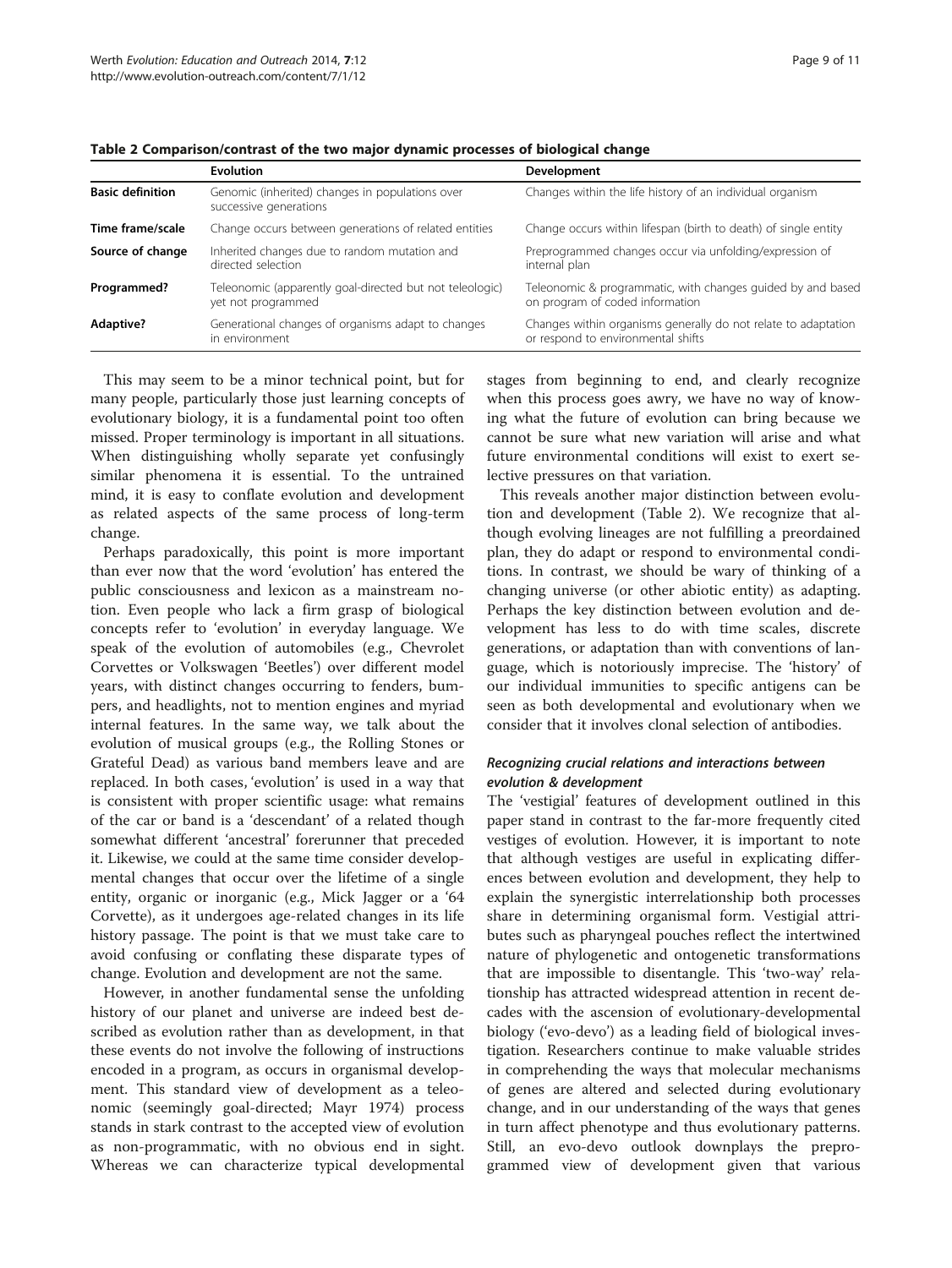|                         | <b>Evolution</b>                                                               | <b>Development</b>                                                                                   |
|-------------------------|--------------------------------------------------------------------------------|------------------------------------------------------------------------------------------------------|
| <b>Basic definition</b> | Genomic (inherited) changes in populations over<br>successive generations      | Changes within the life history of an individual organism                                            |
| Time frame/scale        | Change occurs between generations of related entities                          | Change occurs within lifespan (birth to death) of single entity                                      |
| Source of change        | Inherited changes due to random mutation and<br>directed selection             | Preprogrammed changes occur via unfolding/expression of<br>internal plan                             |
| Programmed?             | Teleonomic (apparently goal-directed but not teleologic)<br>yet not programmed | Teleonomic & programmatic, with changes guided by and based<br>on program of coded information       |
| <b>Adaptive?</b>        | Generational changes of organisms adapt to changes<br>in environment           | Changes within organisms generally do not relate to adaptation<br>or respond to environmental shifts |

<span id="page-8-0"></span>Table 2 Comparison/contrast of the two major dynamic processes of biological change

This may seem to be a minor technical point, but for many people, particularly those just learning concepts of evolutionary biology, it is a fundamental point too often missed. Proper terminology is important in all situations. When distinguishing wholly separate yet confusingly similar phenomena it is essential. To the untrained mind, it is easy to conflate evolution and development as related aspects of the same process of long-term change.

Perhaps paradoxically, this point is more important than ever now that the word 'evolution' has entered the public consciousness and lexicon as a mainstream notion. Even people who lack a firm grasp of biological concepts refer to 'evolution' in everyday language. We speak of the evolution of automobiles (e.g., Chevrolet Corvettes or Volkswagen 'Beetles') over different model years, with distinct changes occurring to fenders, bumpers, and headlights, not to mention engines and myriad internal features. In the same way, we talk about the evolution of musical groups (e.g., the Rolling Stones or Grateful Dead) as various band members leave and are replaced. In both cases, 'evolution' is used in a way that is consistent with proper scientific usage: what remains of the car or band is a 'descendant' of a related though somewhat different 'ancestral' forerunner that preceded it. Likewise, we could at the same time consider developmental changes that occur over the lifetime of a single entity, organic or inorganic (e.g., Mick Jagger or a '64 Corvette), as it undergoes age-related changes in its life history passage. The point is that we must take care to avoid confusing or conflating these disparate types of change. Evolution and development are not the same.

However, in another fundamental sense the unfolding history of our planet and universe are indeed best described as evolution rather than as development, in that these events do not involve the following of instructions encoded in a program, as occurs in organismal development. This standard view of development as a teleonomic (seemingly goal-directed; Mayr [1974](#page-10-0)) process stands in stark contrast to the accepted view of evolution as non-programmatic, with no obvious end in sight. Whereas we can characterize typical developmental

stages from beginning to end, and clearly recognize when this process goes awry, we have no way of knowing what the future of evolution can bring because we cannot be sure what new variation will arise and what future environmental conditions will exist to exert selective pressures on that variation.

This reveals another major distinction between evolution and development (Table 2). We recognize that although evolving lineages are not fulfilling a preordained plan, they do adapt or respond to environmental conditions. In contrast, we should be wary of thinking of a changing universe (or other abiotic entity) as adapting. Perhaps the key distinction between evolution and development has less to do with time scales, discrete generations, or adaptation than with conventions of language, which is notoriously imprecise. The 'history' of our individual immunities to specific antigens can be seen as both developmental and evolutionary when we consider that it involves clonal selection of antibodies.

# Recognizing crucial relations and interactions between evolution & development

The 'vestigial' features of development outlined in this paper stand in contrast to the far-more frequently cited vestiges of evolution. However, it is important to note that although vestiges are useful in explicating differences between evolution and development, they help to explain the synergistic interrelationship both processes share in determining organismal form. Vestigial attributes such as pharyngeal pouches reflect the intertwined nature of phylogenetic and ontogenetic transformations that are impossible to disentangle. This 'two-way' relationship has attracted widespread attention in recent decades with the ascension of evolutionary-developmental biology ('evo-devo') as a leading field of biological investigation. Researchers continue to make valuable strides in comprehending the ways that molecular mechanisms of genes are altered and selected during evolutionary change, and in our understanding of the ways that genes in turn affect phenotype and thus evolutionary patterns. Still, an evo-devo outlook downplays the preprogrammed view of development given that various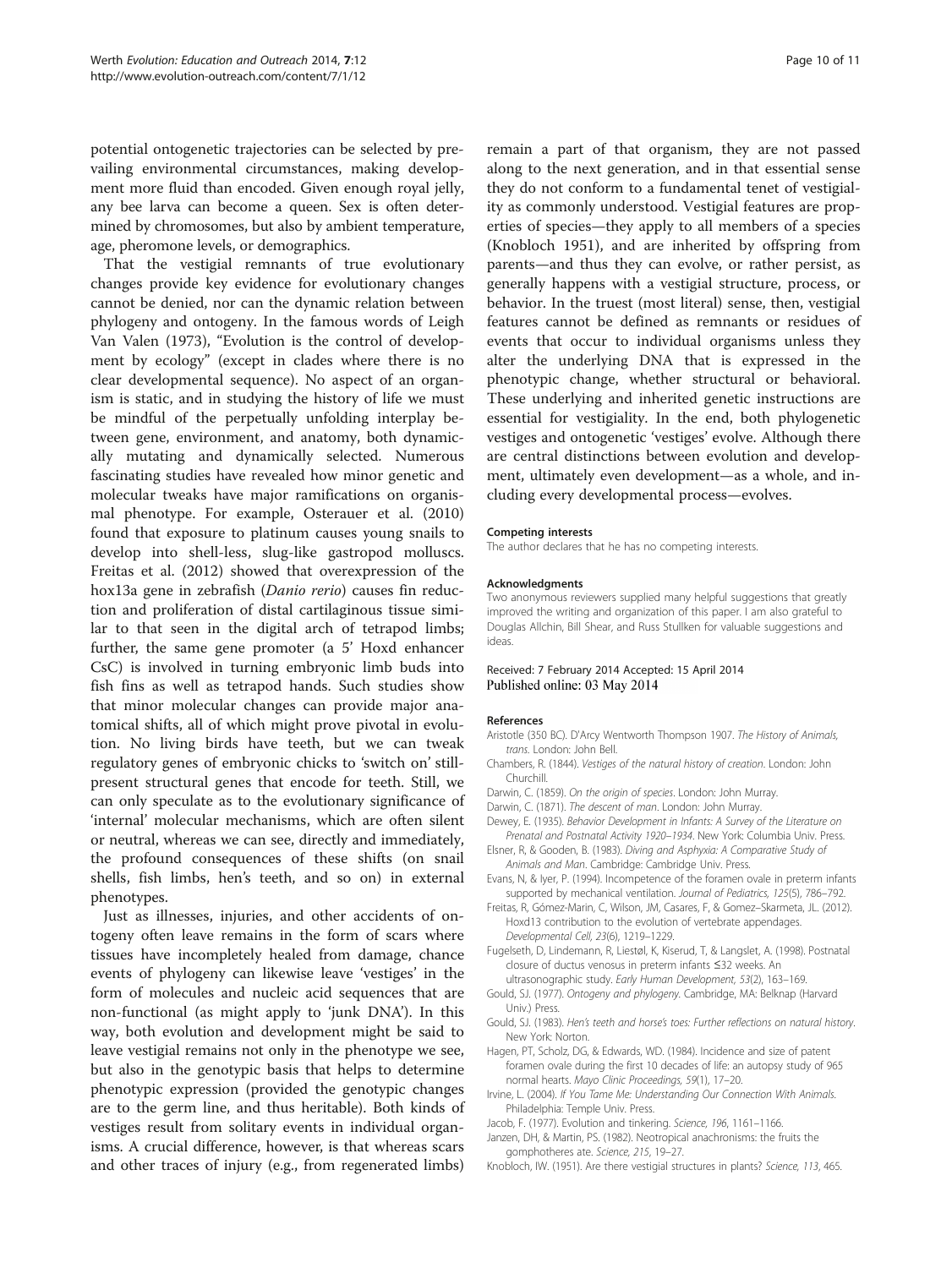<span id="page-9-0"></span>potential ontogenetic trajectories can be selected by prevailing environmental circumstances, making development more fluid than encoded. Given enough royal jelly, any bee larva can become a queen. Sex is often determined by chromosomes, but also by ambient temperature, age, pheromone levels, or demographics.

That the vestigial remnants of true evolutionary changes provide key evidence for evolutionary changes cannot be denied, nor can the dynamic relation between phylogeny and ontogeny. In the famous words of Leigh Van Valen ([1973](#page-10-0)), "Evolution is the control of development by ecology" (except in clades where there is no clear developmental sequence). No aspect of an organism is static, and in studying the history of life we must be mindful of the perpetually unfolding interplay between gene, environment, and anatomy, both dynamically mutating and dynamically selected. Numerous fascinating studies have revealed how minor genetic and molecular tweaks have major ramifications on organismal phenotype. For example, Osterauer et al. ([2010](#page-10-0)) found that exposure to platinum causes young snails to develop into shell-less, slug-like gastropod molluscs. Freitas et al. (2012) showed that overexpression of the hox13a gene in zebrafish (Danio rerio) causes fin reduction and proliferation of distal cartilaginous tissue similar to that seen in the digital arch of tetrapod limbs; further, the same gene promoter (a 5' Hoxd enhancer CsC) is involved in turning embryonic limb buds into fish fins as well as tetrapod hands. Such studies show that minor molecular changes can provide major anatomical shifts, all of which might prove pivotal in evolution. No living birds have teeth, but we can tweak regulatory genes of embryonic chicks to 'switch on' stillpresent structural genes that encode for teeth. Still, we can only speculate as to the evolutionary significance of 'internal' molecular mechanisms, which are often silent or neutral, whereas we can see, directly and immediately, the profound consequences of these shifts (on snail shells, fish limbs, hen's teeth, and so on) in external phenotypes.

Just as illnesses, injuries, and other accidents of ontogeny often leave remains in the form of scars where tissues have incompletely healed from damage, chance events of phylogeny can likewise leave 'vestiges' in the form of molecules and nucleic acid sequences that are non-functional (as might apply to 'junk DNA'). In this way, both evolution and development might be said to leave vestigial remains not only in the phenotype we see, but also in the genotypic basis that helps to determine phenotypic expression (provided the genotypic changes are to the germ line, and thus heritable). Both kinds of vestiges result from solitary events in individual organisms. A crucial difference, however, is that whereas scars and other traces of injury (e.g., from regenerated limbs)

remain a part of that organism, they are not passed along to the next generation, and in that essential sense they do not conform to a fundamental tenet of vestigiality as commonly understood. Vestigial features are properties of species—they apply to all members of a species (Knobloch 1951), and are inherited by offspring from parents—and thus they can evolve, or rather persist, as generally happens with a vestigial structure, process, or behavior. In the truest (most literal) sense, then, vestigial features cannot be defined as remnants or residues of events that occur to individual organisms unless they alter the underlying DNA that is expressed in the phenotypic change, whether structural or behavioral. These underlying and inherited genetic instructions are essential for vestigiality. In the end, both phylogenetic vestiges and ontogenetic 'vestiges' evolve. Although there are central distinctions between evolution and development, ultimately even development—as a whole, and including every developmental process—evolves.

#### Competing interests

The author declares that he has no competing interests.

#### Acknowledgments

Two anonymous reviewers supplied many helpful suggestions that greatly improved the writing and organization of this paper. I am also grateful to Douglas Allchin, Bill Shear, and Russ Stullken for valuable suggestions and ideas.

#### Received: 7 February 2014 Accepted: 15 April 2014 Published online: 03 May 2014

#### References

- Aristotle (350 BC). D'Arcy Wentworth Thompson 1907. The History of Animals, trans. London: John Bell.
- Chambers, R. (1844). Vestiges of the natural history of creation. London: John Churchill.
- Darwin, C. (1859). On the origin of species. London: John Murray.
- Darwin, C. (1871). The descent of man. London: John Murray.
- Dewey, E. (1935). Behavior Development in Infants: A Survey of the Literature on Prenatal and Postnatal Activity 1920–1934. New York: Columbia Univ. Press.
- Elsner, R, & Gooden, B. (1983). Diving and Asphyxia: A Comparative Study of Animals and Man. Cambridge: Cambridge Univ. Press.
- Evans, N, & Iyer, P. (1994). Incompetence of the foramen ovale in preterm infants supported by mechanical ventilation. Journal of Pediatrics, 125(5), 786–792.
- Freitas, R, Gómez-Marin, C, Wilson, JM, Casares, F, & Gomez–Skarmeta, JL. (2012). Hoxd13 contribution to the evolution of vertebrate appendages. Developmental Cell, 23(6), 1219–1229.
- Fugelseth, D, Lindemann, R, Liestøl, K, Kiserud, T, & Langslet, A. (1998). Postnatal closure of ductus venosus in preterm infants ≤32 weeks. An
- ultrasonographic study. Early Human Development, 53(2), 163–169. Gould, SJ. (1977). Ontogeny and phylogeny. Cambridge, MA: Belknap (Harvard Univ.) Press.
- Gould, SJ. (1983). Hen's teeth and horse's toes: Further reflections on natural history. New York: Norton.
- Hagen, PT, Scholz, DG, & Edwards, WD. (1984). Incidence and size of patent foramen ovale during the first 10 decades of life: an autopsy study of 965 normal hearts. Mayo Clinic Proceedings, 59(1), 17–20.
- Irvine, L. (2004). If You Tame Me: Understanding Our Connection With Animals. Philadelphia: Temple Univ. Press.
- Jacob, F. (1977). Evolution and tinkering. Science, 196, 1161-1166.
- Janzen, DH, & Martin, PS. (1982). Neotropical anachronisms: the fruits the gomphotheres ate. Science, 215, 19–27.
- Knobloch, IW. (1951). Are there vestigial structures in plants? Science, 113, 465.